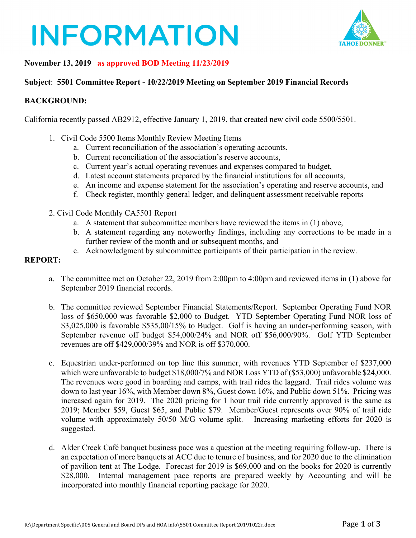# **INFORMATION**



### **November 13, 2019 as approved BOD Meeting 11/23/2019**

#### **Subject**: **5501 Committee Report - 10/22/2019 Meeting on September 2019 Financial Records**

#### **BACKGROUND:**

California recently passed AB2912, effective January 1, 2019, that created new civil code 5500/5501.

- 1. Civil Code 5500 Items Monthly Review Meeting Items
	- a. Current reconciliation of the association's operating accounts,
	- b. Current reconciliation of the association's reserve accounts,
	- c. Current year's actual operating revenues and expenses compared to budget,
	- d. Latest account statements prepared by the financial institutions for all accounts,
	- e. An income and expense statement for the association's operating and reserve accounts, and
	- f. Check register, monthly general ledger, and delinquent assessment receivable reports
- 2. Civil Code Monthly CA5501 Report
	- a. A statement that subcommittee members have reviewed the items in (1) above,
	- b. A statement regarding any noteworthy findings, including any corrections to be made in a further review of the month and or subsequent months, and
	- c. Acknowledgment by subcommittee participants of their participation in the review.

#### **REPORT:**

- a. The committee met on October 22, 2019 from 2:00pm to 4:00pm and reviewed items in (1) above for September 2019 financial records.
- b. The committee reviewed September Financial Statements/Report. September Operating Fund NOR loss of \$650,000 was favorable \$2,000 to Budget. YTD September Operating Fund NOR loss of \$3,025,000 is favorable \$535,00/15% to Budget. Golf is having an under-performing season, with September revenue off budget \$54,000/24% and NOR off \$56,000/90%. Golf YTD September revenues are off \$429,000/39% and NOR is off \$370,000.
- c. Equestrian under-performed on top line this summer, with revenues YTD September of \$237,000 which were unfavorable to budget \$18,000/7% and NOR Loss YTD of (\$53,000) unfavorable \$24,000. The revenues were good in boarding and camps, with trail rides the laggard. Trail rides volume was down to last year 16%, with Member down 8%, Guest down 16%, and Public down 51%. Pricing was increased again for 2019. The 2020 pricing for 1 hour trail ride currently approved is the same as 2019; Member \$59, Guest \$65, and Public \$79. Member/Guest represents over 90% of trail ride volume with approximately 50/50 M/G volume split. Increasing marketing efforts for 2020 is suggested.
- d. Alder Creek Café banquet business pace was a question at the meeting requiring follow-up. There is an expectation of more banquets at ACC due to tenure of business, and for 2020 due to the elimination of pavilion tent at The Lodge. Forecast for 2019 is \$69,000 and on the books for 2020 is currently \$28,000. Internal management pace reports are prepared weekly by Accounting and will be incorporated into monthly financial reporting package for 2020.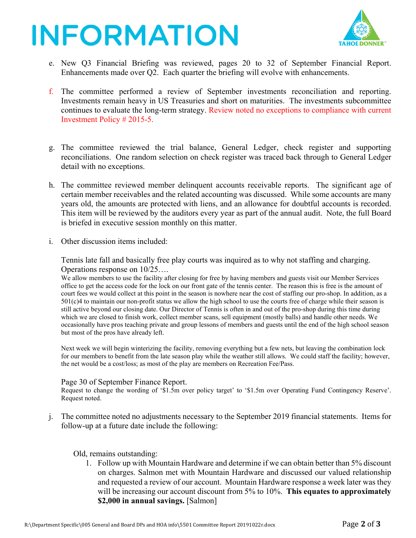## **INFORMATION**



- e. New Q3 Financial Briefing was reviewed, pages 20 to 32 of September Financial Report. Enhancements made over Q2. Each quarter the briefing will evolve with enhancements.
- f. The committee performed a review of September investments reconciliation and reporting. Investments remain heavy in US Treasuries and short on maturities. The investments subcommittee continues to evaluate the long-term strategy. Review noted no exceptions to compliance with current Investment Policy # 2015-5.
- g. The committee reviewed the trial balance, General Ledger, check register and supporting reconciliations. One random selection on check register was traced back through to General Ledger detail with no exceptions.
- h. The committee reviewed member delinquent accounts receivable reports. The significant age of certain member receivables and the related accounting was discussed. While some accounts are many years old, the amounts are protected with liens, and an allowance for doubtful accounts is recorded. This item will be reviewed by the auditors every year as part of the annual audit. Note, the full Board is briefed in executive session monthly on this matter.
- i. Other discussion items included:

Tennis late fall and basically free play courts was inquired as to why not staffing and charging. Operations response on 10/25….

We allow members to use the facility after closing for free by having members and guests visit our Member Services office to get the access code for the lock on our front gate of the tennis center. The reason this is free is the amount of court fees we would collect at this point in the season is nowhere near the cost of staffing our pro-shop. In addition, as a 501(c)4 to maintain our non-profit status we allow the high school to use the courts free of charge while their season is still active beyond our closing date. Our Director of Tennis is often in and out of the pro-shop during this time during which we are closed to finish work, collect member scans, sell equipment (mostly balls) and handle other needs. We occasionally have pros teaching private and group lessons of members and guests until the end of the high school season but most of the pros have already left.

Next week we will begin winterizing the facility, removing everything but a few nets, but leaving the combination lock for our members to benefit from the late season play while the weather still allows. We could staff the facility; however, the net would be a cost/loss; as most of the play are members on Recreation Fee/Pass.

#### Page 30 of September Finance Report.

Request to change the wording of '\$1.5m over policy target' to '\$1.5m over Operating Fund Contingency Reserve'. Request noted.

j. The committee noted no adjustments necessary to the September 2019 financial statements. Items for follow-up at a future date include the following:

#### Old, remains outstanding:

1. Follow up with Mountain Hardware and determine if we can obtain better than 5% discount on charges. Salmon met with Mountain Hardware and discussed our valued relationship and requested a review of our account. Mountain Hardware response a week later was they will be increasing our account discount from 5% to 10%. **This equates to approximately \$2,000 in annual savings.** [Salmon]